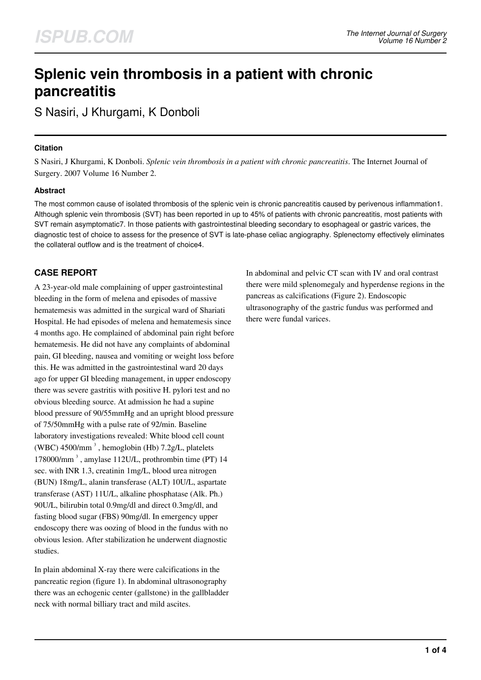# **Splenic vein thrombosis in a patient with chronic pancreatitis**

S Nasiri, J Khurgami, K Donboli

## **Citation**

S Nasiri, J Khurgami, K Donboli. *Splenic vein thrombosis in a patient with chronic pancreatitis*. The Internet Journal of Surgery. 2007 Volume 16 Number 2.

## **Abstract**

The most common cause of isolated thrombosis of the splenic vein is chronic pancreatitis caused by perivenous inflammation1. Although splenic vein thrombosis (SVT) has been reported in up to 45% of patients with chronic pancreatitis, most patients with SVT remain asymptomatic7. In those patients with gastrointestinal bleeding secondary to esophageal or gastric varices, the diagnostic test of choice to assess for the presence of SVT is late-phase celiac angiography. Splenectomy effectively eliminates the collateral outflow and is the treatment of choice4.

# **CASE REPORT**

A 23-year-old male complaining of upper gastrointestinal bleeding in the form of melena and episodes of massive hematemesis was admitted in the surgical ward of Shariati Hospital. He had episodes of melena and hematemesis since 4 months ago. He complained of abdominal pain right before hematemesis. He did not have any complaints of abdominal pain, GI bleeding, nausea and vomiting or weight loss before this. He was admitted in the gastrointestinal ward 20 days ago for upper GI bleeding management, in upper endoscopy there was severe gastritis with positive H. pylori test and no obvious bleeding source. At admission he had a supine blood pressure of 90/55mmHg and an upright blood pressure of 75/50mmHg with a pulse rate of 92/min. Baseline laboratory investigations revealed: White blood cell count (WBC)  $4500/\text{mm}^3$ , hemoglobin (Hb)  $7.2g/L$ , platelets 178000/mm<sup>3</sup>, amylase 112U/L, prothrombin time (PT) 14 sec. with INR 1.3, creatinin 1mg/L, blood urea nitrogen (BUN) 18mg/L, alanin transferase (ALT) 10U/L, aspartate transferase (AST) 11U/L, alkaline phosphatase (Alk. Ph.) 90U/L, bilirubin total 0.9mg/dl and direct 0.3mg/dl, and fasting blood sugar (FBS) 90mg/dl. In emergency upper endoscopy there was oozing of blood in the fundus with no obvious lesion. After stabilization he underwent diagnostic studies.

In plain abdominal X-ray there were calcifications in the pancreatic region (figure 1). In abdominal ultrasonography there was an echogenic center (gallstone) in the gallbladder neck with normal billiary tract and mild ascites.

In abdominal and pelvic CT scan with IV and oral contrast there were mild splenomegaly and hyperdense regions in the pancreas as calcifications (Figure 2). Endoscopic ultrasonography of the gastric fundus was performed and there were fundal varices.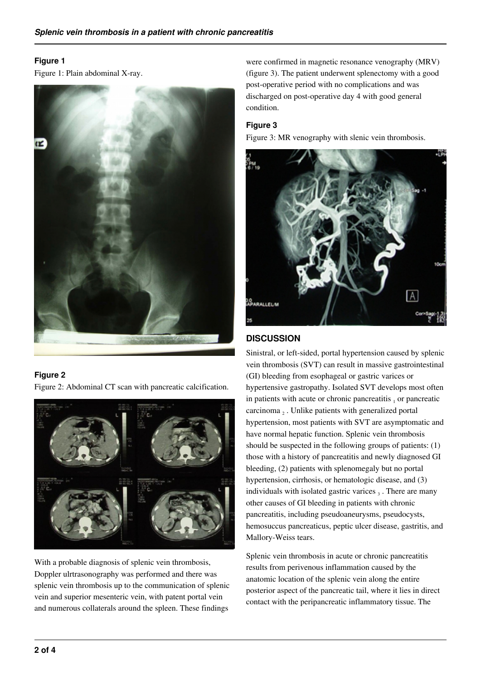## **Figure 1**

Figure 1: Plain abdominal X-ray.



## **Figure 2**

Figure 2: Abdominal CT scan with pancreatic calcification.



With a probable diagnosis of splenic vein thrombosis, Doppler ulrtrasonography was performed and there was splenic vein thrombosis up to the communication of splenic vein and superior mesenteric vein, with patent portal vein and numerous collaterals around the spleen. These findings

were confirmed in magnetic resonance venography (MRV) (figure 3). The patient underwent splenectomy with a good post-operative period with no complications and was discharged on post-operative day 4 with good general condition.

## **Figure 3**

Figure 3: MR venography with slenic vein thrombosis.



# **DISCUSSION**

Sinistral, or left-sided, portal hypertension caused by splenic vein thrombosis (SVT) can result in massive gastrointestinal (GI) bleeding from esophageal or gastric varices or hypertensive gastropathy. Isolated SVT develops most often in patients with acute or chronic pancreatitis  $<sub>1</sub>$  or pancreatic</sub> carcinoma 2. Unlike patients with generalized portal hypertension, most patients with SVT are asymptomatic and have normal hepatic function. Splenic vein thrombosis should be suspected in the following groups of patients: (1) those with a history of pancreatitis and newly diagnosed GI bleeding, (2) patients with splenomegaly but no portal hypertension, cirrhosis, or hematologic disease, and (3) individuals with isolated gastric varices  $_3$ . There are many other causes of GI bleeding in patients with chronic pancreatitis, including pseudoaneurysms, pseudocysts, hemosuccus pancreaticus, peptic ulcer disease, gastritis, and Mallory-Weiss tears.

Splenic vein thrombosis in acute or chronic pancreatitis results from perivenous inflammation caused by the anatomic location of the splenic vein along the entire posterior aspect of the pancreatic tail, where it lies in direct contact with the peripancreatic inflammatory tissue. The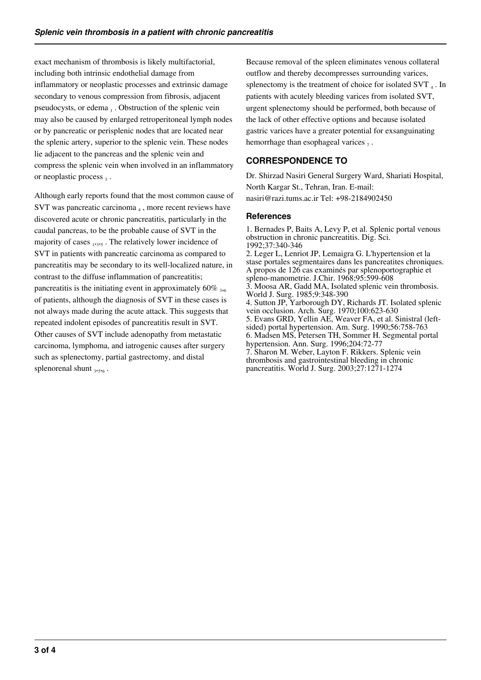exact mechanism of thrombosis is likely multifactorial, including both intrinsic endothelial damage from inflammatory or neoplastic processes and extrinsic damage secondary to venous compression from fibrosis, adjacent pseudocysts, or edema 1. Obstruction of the splenic vein may also be caused by enlarged retroperitoneal lymph nodes or by pancreatic or perisplenic nodes that are located near the splenic artery, superior to the splenic vein. These nodes lie adjacent to the pancreas and the splenic vein and compress the splenic vein when involved in an inflammatory or neoplastic process 3.

Although early reports found that the most common cause of SVT was pancreatic carcinoma $_4$ , more recent reviews have discovered acute or chronic pancreatitis, particularly in the caudal pancreas, to be the probable cause of SVT in the majority of cases 1,3,5. The relatively lower incidence of SVT in patients with pancreatic carcinoma as compared to pancreatitis may be secondary to its well-localized nature, in contrast to the diffuse inflammation of pancreatitis; pancreatitis is the initiating event in approximately 60%  $_{3,6}$ of patients, although the diagnosis of SVT in these cases is not always made during the acute attack. This suggests that repeated indolent episodes of pancreatitis result in SVT. Other causes of SVT include adenopathy from metastatic carcinoma, lymphoma, and iatrogenic causes after surgery such as splenectomy, partial gastrectomy, and distal splenorenal shunt  $_{3,5,6}$ .

Because removal of the spleen eliminates venous collateral outflow and thereby decompresses surrounding varices, splenectomy is the treatment of choice for isolated SVT  $_4$ . In patients with acutely bleeding varices from isolated SVT, urgent splenectomy should be performed, both because of the lack of other effective options and because isolated gastric varices have a greater potential for exsanguinating hemorrhage than esophageal varices  $_7$ .

# **CORRESPONDENCE TO**

Dr. Shirzad Nasiri General Surgery Ward, Shariati Hospital, North Kargar St., Tehran, Iran. E-mail: nasiri@razi.tums.ac.ir Tel: +98-2184902450

## **References**

1. Bernades P, Baits A, Levy P, et al. Splenic portal venous obstruction in chronic pancreatitis. Dig. Sci. 1992;37:340-346 2. Leger L, Lenriot JP, Lemaigra G. L'hypertension et la stase portales segmentaires dans les pancreatites chroniques. A propos de 126 cas examinés par splenoportographie et spleno-manometrie. J.Chir. 1968;95:599-608 3. Moosa AR, Gadd MA, Isolated splenic vein thrombosis. World J. Surg. 1985;9:348-390 4. Sutton JP, Yarborough DY, Richards JT. Isolated splenic vein occlusion. Arch. Surg. 1970;100:623-630 5. Evans GRD, Yellin AE, Weaver FA, et al. Sinistral (leftsided) portal hypertension. Am. Surg. 1990;56:758-763 6. Madsen MS, Petersen TH, Sommer H. Segmental portal hypertension. Ann. Surg. 1996;204:72-77 7. Sharon M. Weber, Layton F. Rikkers. Splenic vein thrombosis and gastrointestinal bleeding in chronic pancreatitis. World J. Surg. 2003;27:1271-1274